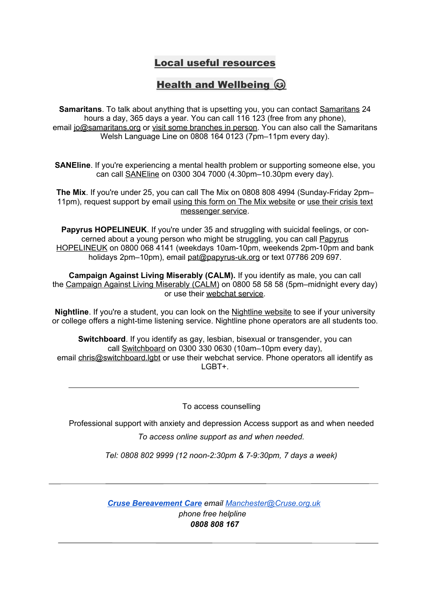# Local useful resources

# Health and Wellbeing  $\circledcirc$

**Samaritans**. To talk about anything that is upsetting you, you can contact [Samaritans](http://www.samaritans.org/) 24 hours a day, 365 days a year. You can call 116 123 (free from any phone), email [jo@samaritans.org](mailto:jo@samaritans.org) or visit some [branches](https://www.samaritans.org/branches) in person. You can also call the Samaritans Welsh Language Line on 0808 164 0123 (7pm–11pm every day).

**SANEline**. If you're experiencing a mental health problem or supporting someone else, you can call [SANEline](http://www.sane.org.uk/what_we_do/support/helpline) on 0300 304 7000 (4.30pm–10.30pm every day).

**The Mix**. If you're under 25, you can call The Mix on 0808 808 4994 (Sunday-Friday 2pm– 11pm), request support by email using this form on The Mix [website](https://www.themix.org.uk/get-support/speak-to-our-team/email-us) or use their [crisis](https://www.themix.org.uk/get-support/speak-to-our-team/crisis-messenger) text [messenger](https://www.themix.org.uk/get-support/speak-to-our-team/crisis-messenger) service.

**Papyrus HOPELINEUK**. If you're under 35 and struggling with suicidal feelings, or concerned about a young person who might be struggling, you can call [Papyrus](https://www.papyrus-uk.org/) [HOPELINEUK](https://www.papyrus-uk.org/) on 0800 068 4141 (weekdays 10am-10pm, weekends 2pm-10pm and bank holidays 2pm–10pm), email [pat@papyrus-uk.org](mailto:pat@papyrus-uk.org) or text 07786 209 697.

**Campaign Against Living Miserably (CALM).** If you identify as male, you can call the [Campaign](https://www.thecalmzone.net/) Against Living Miserably (CALM) on 0800 58 58 58 (5pm–midnight every day) or use their [webchat](https://www.thecalmzone.net/help/webchat/) service.

**Nightline**. If you're a student, you can look on the [Nightline](http://nightline.ac.uk/want-to-talk/) website to see if your university or college offers a night-time listening service. Nightline phone operators are all students too.

**Switchboard**. If you identify as gay, lesbian, bisexual or transgender, you can call [Switchboard](https://switchboard.lgbt/) on 0300 330 0630 (10am–10pm every day), email [chris@switchboard.lgbt](mailto:mailto%22chris@switchboard.lgbt) or use their webchat service. Phone operators all identify as LGBT+.

To access counselling

Professional support with anxiety and depression Access support as and when needed

*To access online support as and when needed.*

*Tel: 0808 802 9999 (12 noon-2:30pm & 7-9:30pm, 7 days a week)*

*[Cruse Bereavement Care](https://www.cruse.org.uk/get-help/local-services/north-west/manchester) email [Manchester@Cruse.org.uk](mailto:Manchester@Cruse.org.uk) phone free helpline 0808 808 167*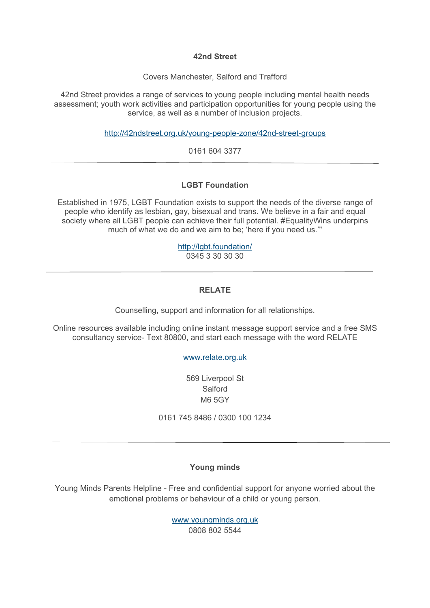#### **42nd Street**

Covers Manchester, Salford and Trafford

42nd Street provides a range of services to young people including mental health needs assessment; youth work activities and participation opportunities for young people using the service, as well as a number of inclusion projects.

<http://42ndstreet.org.uk/young-people-zone/42nd-street-groups>

0161 604 3377

# **LGBT Foundation**

Established in 1975, LGBT Foundation exists to support the needs of the diverse range of people who identify as lesbian, gay, bisexual and trans. We believe in a fair and equal society where all LGBT people can achieve their full potential. #EqualityWins underpins much of what we do and we aim to be; 'here if you need us.'"

> <http://lgbt.foundation/> 0345 3 30 30 30

# **RELATE**

Counselling, support and information for all relationships.

Online resources available including online instant message support service and a free SMS consultancy service- Text 80800, and start each message with the word RELATE

# [www.relate.org.uk](http://www.relate.org.uk/)

569 Liverpool St Salford M6 5GY

0161 745 8486 / 0300 100 1234

# **Young minds**

Young Minds Parents Helpline - Free and confidential support for anyone worried about the emotional problems or behaviour of a child or young person.

> [www.youngminds.org.uk](http://www.youngminds.org.uk/) 0808 802 5544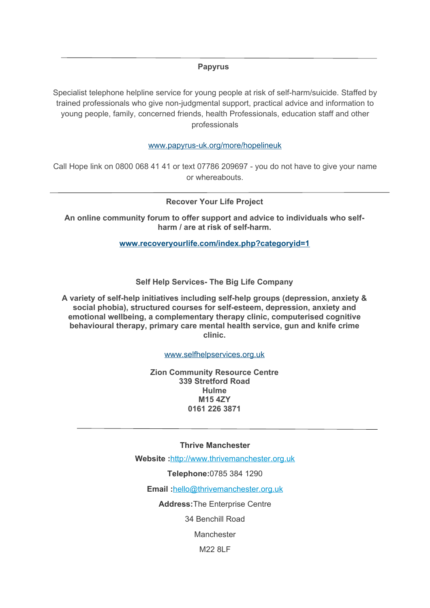#### **Papyrus**

Specialist telephone helpline service for young people at risk of self-harm/suicide. Staffed by trained professionals who give non-judgmental support, practical advice and information to young people, family, concerned friends, health Professionals, education staff and other professionals

[www.papyrus-uk.org/more/hopelineuk](http://www.facebook.com/SalfordDadz)

Call Hope link on 0800 068 41 41 or text 07786 209697 - you do not have to give your name or whereabouts.

**Recover Your Life Project**

**An online community forum to offer support and advice to individuals who selfharm / are at risk of self-harm.**

**[www.recoveryourlife.com/index.php?categoryid=1](http://www.salfordwomenscentre.co.uk/services)**

**Self Help Services- The Big Life Company**

**A variety of self-help initiatives including self-help groups (depression, anxiety & social phobia), structured courses for self-esteem, depression, anxiety and emotional wellbeing, a complementary therapy clinic, computerised cognitive behavioural therapy, primary care mental health service, gun and knife crime clinic.**

[www.selfhelpservices.org.uk](http://www.youngminds.org.uk/)

**Zion Community Resource Centre 339 Stretford Road Hulme M15 4ZY 0161 226 3871**

**Thrive Manchester**

**Website :**[http://www.thrivemanchester.org.uk](http://www.thrivemanchester.org.uk/)

**Telephone:**0785 384 1290

**Email :**[hello@thrivemanchester.org.uk](mailto:hello@thrivemanchester.org.uk)

**Address:**The Enterprise Centre

34 Benchill Road

Manchester

M22 8LF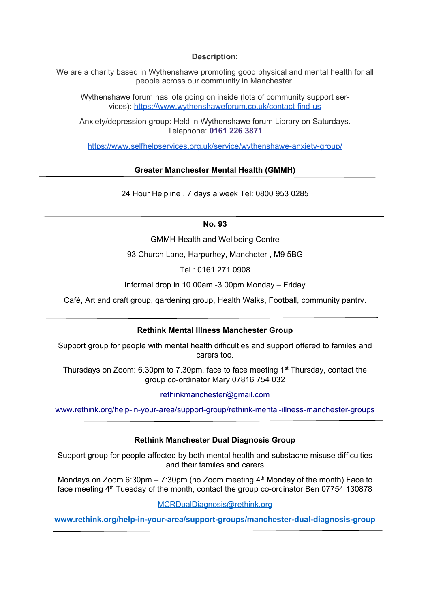#### **Description:**

We are a charity based in Wythenshawe promoting good physical and mental health for all people across our community in Manchester.

Wythenshawe forum has lots going on inside (lots of community support services): <https://www.wythenshaweforum.co.uk/contact-find-us>

Anxiety/depression group: Held in Wythenshawe forum Library on Saturdays. Telephone: **0161 226 3871**

<https://www.selfhelpservices.org.uk/service/wythenshawe-anxiety-group/>

# **Greater Manchester Mental Health (GMMH)**

24 Hour Helpline , 7 days a week Tel: 0800 953 0285

#### **No. 93**

GMMH Health and Wellbeing Centre

93 Church Lane, Harpurhey, Mancheter , M9 5BG

Tel : 0161 271 0908

Informal drop in 10.00am -3.00pm Monday – Friday

Café, Art and craft group, gardening group, Health Walks, Football, community pantry.

# **Rethink Mental Illness Manchester Group**

Support group for people with mental health difficulties and support offered to familes and carers too.

Thursdays on Zoom: 6.30pm to 7.30pm, face to face meeting 1<sup>st</sup> Thursday, contact the group co-ordinator Mary 07816 754 032

[rethinkmanchester@gmail.com](mailto:rethinkmanchester@gmail.com)

[www.rethink.org/help-in-your-area/support-group/rethink-mental-illness-manchester-groups](http://www.rethink.org/help-in-your-area/support-group/rethink-mental-illness-manchester-groups)

# **Rethink Manchester Dual Diagnosis Group**

Support group for people affected by both mental health and substacne misuse difficulties and their familes and carers

Mondays on Zoom 6:30pm  $-7:30$ pm (no Zoom meeting  $4<sup>th</sup>$  Monday of the month) Face to face meeting 4<sup>th</sup> Tuesday of the month, contact the group co-ordinator Ben 07754 130878

MCRDualDiagnosis@rethink.org

**www.rethink.org/help-in-your-area/support-groups/manchester-dual-diagnosis-group**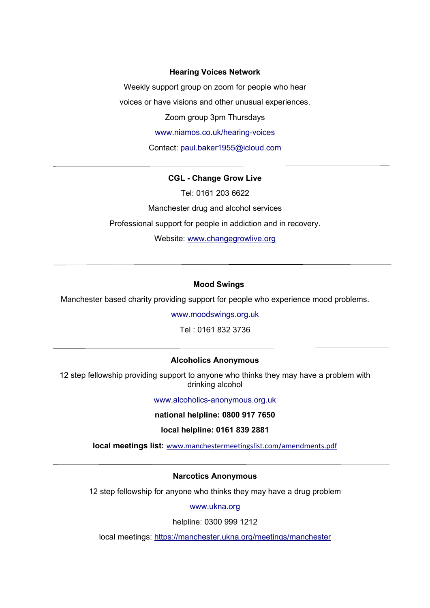#### **Hearing Voices Network**

Weekly support group on zoom for people who hear voices or have visions and other unusual experiences.

Zoom group 3pm Thursdays

[www.niamos.co.uk/hearing-voices](http://www.niamos.co.uk/hearing-voices)

Contact: [paul.baker1955@icloud.com](mailto:paul.baker19554@icloud.com)

#### **CGL - Change Grow Live**

Tel: 0161 203 6622 Manchester drug and alcohol services Professional support for people in addiction and in recovery. Website: [www.changegrowlive.org](http://www.changegrowlive.org/)

#### **Mood Swings**

Manchester based charity providing support for people who experience mood problems.

[www.moodswings.org.uk](http://www.moodswings.org.uk/)

Tel : 0161 832 3736

#### **Alcoholics Anonymous**

12 step fellowship providing support to anyone who thinks they may have a problem with drinking alcohol

[www.alcoholics-anonymous.org.uk](http://www.alcoholics-anonymous.org.uk/)

**national helpline: 0800 917 7650**

**local helpline: 0161 839 2881**

**local meetings list:** [www.manchestermeetingslist.com/amendments.pdf](http://www.manchestermeetingslist.com/amendments.pdf)

#### **Narcotics Anonymous**

12 step fellowship for anyone who thinks they may have a drug problem

[www.ukna.org](http://www.ukna.org/)

helpline: 0300 999 1212

local meetings: <https://manchester.ukna.org/meetings/manchester>